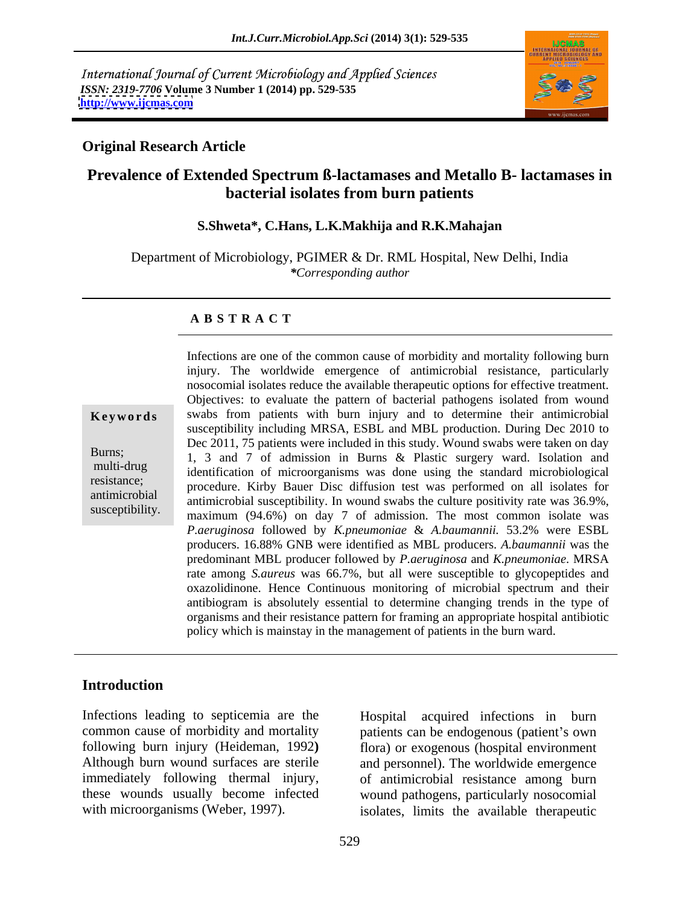International Journal of Current Microbiology and Applied Sciences *ISSN: 2319-7706* **Volume 3 Number 1 (2014) pp. 529-535 <http://www.ijcmas.com>**



## **Original Research Article**

# **Prevalence of Extended Spectrum ß-lactamases and Metallo B- lactamases in bacterial isolates from burn patients**

### **S.Shweta\*, C.Hans, L.K.Makhija and R.K.Mahajan**

Department of Microbiology, PGIMER & Dr. RML Hospital, New Delhi, India *\*Corresponding author*

### **A B S T R A C T**

**Keywords** swabs from patients with burn injury and to determine their antimicrobial Burns;<br>
1, 3 and 7 of admission in Burns & Plastic surgery ward. Isolation and multi-drug identification of microorganisms was done using the standard microbiological resistance; procedure. Kirby Bauer Disc diffusion test was performed on all isolates for antimicrobial antimicrobial susceptibility. In wound swabs the culture positivity rate was 36.9%, susceptibility.  $maximum (94.6%)$  on day 7 of admission. The most common isolate was Infections are one of the common cause of morbidity and mortality following burn injury. The worldwide emergence of antimicrobial resistance, particularly nosocomial isolates reduce the available therapeutic options for effective treatment. Objectives: to evaluate the pattern of bacterial pathogens isolated from wound susceptibility including MRSA, ESBL and MBL production. During Dec 2010 to Dec 2011, 75 patients were included in this study. Wound swabs were taken on day *P.aeruginosa* followed by *K.pneumoniae* & *A.baumannii.* 53.2% were ESBL producers. 16.88% GNB were identified as MBL producers. *A.baumannii* was the predominant MBL producer followed by *P.aeruginosa* and *K.pneumoniae*. MRSA rate among *S.aureus* was 66.7%, but all were susceptible to glycopeptides and oxazolidinone. Hence Continuous monitoring of microbial spectrum and their antibiogram is absolutely essential to determine changing trends in the type of organisms and their resistance pattern for framing an appropriate hospital antibiotic policy which is mainstay in the management of patients in the burn ward.

## **Introduction**

Infections leading to septicemia are the Hospital acquired infections in burn common cause of morbidity and mortality patients can be endogenous (patient's own following burn injury (Heideman, 1992**)** Although burn wound surfaces are sterile and personnel). The worldwide emergence immediately following thermal injury, these wounds usually become infected wound pathogens, particularly nosocomial

with microorganisms (Weber, 1997). isolates, limits the available therapeutic flora) or exogenous (hospital environment of antimicrobial resistance among burn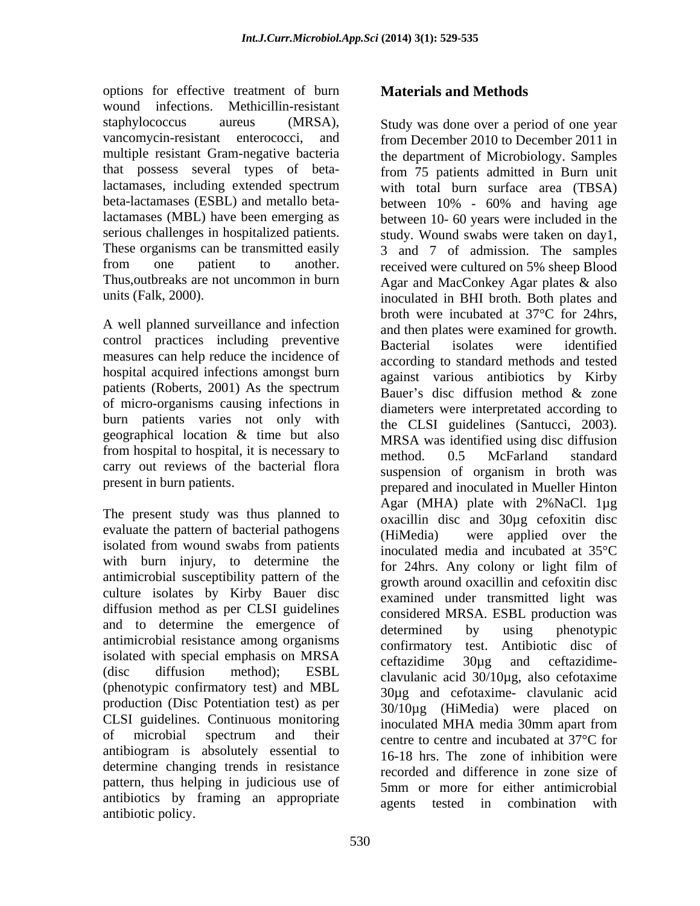options for effective treatment of burn **Materials and Methods** wound infections. Methicillin-resistant staphylococcus aureus (MRSA), Study was done over a period of one year multiple resistant Gram-negative bacteria that possess several types of betalactamases (MBL) have been emerging as

A well planned surveillance and infection control practices including preventive Bacterial isolates were identified measures can help reduce the incidence of hospital acquired infections amongst burn patients (Roberts, 2001) As the spectrum<br>Bauer's disc diffusion method  $\&$  zone of micro-organisms causing infections in burn patients varies not only with geographical location & time but also from hospital to hospital, it is necessary to method. 0.5 McFarland standard carry out reviews of the bacterial flora

evaluate the pattern of bacterial pathogens (HiMedia) with burn injury, to determine the antimicrobial susceptibility pattern of the culture isolates by Kirby Bauer disc diffusion method as per CLSI guidelines and to determine the emergence of determined by using phenotypic antimicrobial resistance among organisms isolated with special emphasis on MRSA ceftazidime 30ug and ceftazidime-(phenotypic confirmatory test) and MBL production (Disc Potentiation test) as per CLSI guidelines. Continuous monitoring inoculated MHA media 30mm apart from antibiogram is absolutely essential to determine changing trends in resistance pattern, thus helping in judicious use of antibiotics by framing an appropriate agents tested in combination with antibiotic policy.

# **Materials and Methods**

vancomycin-resistant enterococci, and from December 2010 to December 2011 in lactamases, including extended spectrum with total burn surface area (TBSA) beta-lactamases (ESBL) and metallo beta-between 10% - 60% and having age serious challenges in hospitalized patients. study. Wound swabs were taken on day1, These organisms can be transmitted easily 3 and 7 of admission. The samples from one patient to another. received were cultured on 5% sheep Blood Thus,outbreaks are not uncommon in burn Agar and MacConkey Agar plates & also units (Falk, 2000). inoculated in BHI broth. Both plates and present in burn patients.<br>
prepared and inoculated in Mueller Hinton<br>
The present study was thus planned to<br>  $\frac{\text{Ngar (MHA)}}{\text{exacillin}}$  disc and 30ug cefoxitin disc isolated from wound swabs from patients  $\frac{1}{2}$  included media and incubated at 35 $^{\circ}$ C  $\frac{1}{2}$  diffusion method); ESBL clayularic acid  $30/10\mu\sigma$  also cefotaxime of microbial spectrum and their experience of entre and incubated at 37<sup>o</sup>C for the department of Microbiology. Samples from 75 patients admitted in Burn unit between 10- 60 years were included in the broth were incubated at 37°C for 24hrs, and then plates were examined for growth. Bacterial isolates were identified according to standard methods and tested against various antibiotics by Kirby Bauer's disc diffusion method & zone diameters were interpretated according to the CLSI guidelines (Santucci, 2003). MRSA was identified using disc diffusion method. 0.5 McFarland standard suspension of organism in broth was prepared and inoculated in Mueller Hinton Agar (MHA) plate with 2%NaCl. 1µg oxacillin disc and 30µg cefoxitin disc were applied over the inoculated media and incubated at 35°C for 24hrs. Any colony or light film of growth around oxacillin and cefoxitin disc examined under transmitted light was considered MRSA. ESBL production was determined by using phenotypic confirmatory test. Antibiotic disc of ceftazidime 30µg and ceftazidime clavulanic acid 30/10µg, also cefotaxime 30µg and cefotaxime- clavulanic acid 30/10µg (HiMedia) were placed on inoculated MHA media 30mm apart from centre to centre and incubated at 37°C for 16-18 hrs. The zone of inhibition were recorded and difference in zone size of 5mm or more for either antimicrobial agents tested in combination with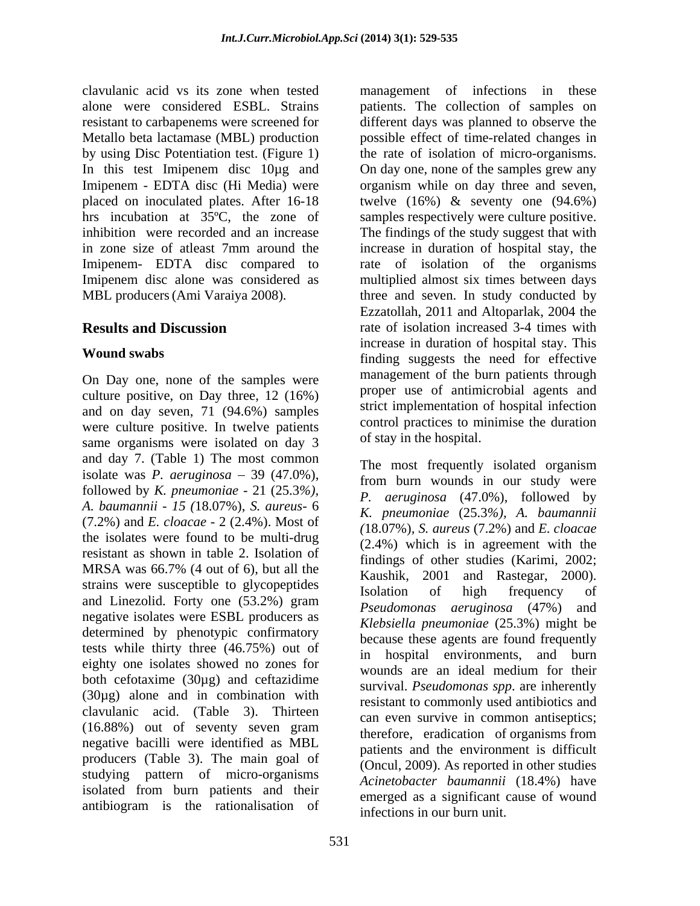clavulanic acid vs its zone when tested management of infections in these alone were considered ESBL. Strains patients. The collection of samples on resistant to carbapenems were screened for different days was planned to observe the Metallo beta lactamase (MBL) production possible effect of time-related changes in by using Disc Potentiation test. (Figure 1) the rate of isolation of micro-organisms. In this test Imipenem disc 10µg and On day one, none of the samples grew any Imipenem - EDTA disc (Hi Media) were organism while on day three and seven, placed on inoculated plates. After 16-18 twelve (16%) & seventy one (94.6%) hrs incubation at 35<sup>o</sup>C, the zone of samples respectively were culture positive. inhibition were recorded and an increase The findings of the study suggest that with in zone size of atleast 7mm around the increase in duration of hospital stay, the Imipenem- EDTA disc compared to Imipenem disc alone was considered as multiplied almost six times between days MBL producers (Ami Varaiya 2008). three and seven. In study conducted by

On Day one, none of the samples were culture positive, on Day three, 12 (16%) and on day seven, 71 (94.6%) samples were culture positive. In twelve patients same organisms were isolated on day 3 and day 7. (Table 1) The most common isolate was *P. aeruginosa*  $-39$  (47.0%), followed by *K. pneumoniae* - 21 (25.3%),<br>A. *baumannii* - 15 (18.07%), *S. aureus*- 6<br> $\kappa$  *pneumoniae* (25.3%), A. *baumannii* (7.2%) and *E. cloacae* - 2 (2.4%). Most of the isolates were found to be multi-drug resistant as shown in table 2. Isolation of findings of other studies (Karimi, 2002; MRSA was 66.7% (4 out of 6), but all the  $\frac{1}{2}$   $\frac{1}{2001}$  and  $\frac{1}{2}$   $\frac{1}{2}$   $\frac{1}{2000}$ SER WAS A Was 00.7% (4 00t 01 0), but an the Kaushik, 2001 and Rastegar, 2000).<br>
Strains were susceptible to glycopeptides Isolation of high frequency of and Linezolid. Forty one (53.2%) gram negative isolates were ESBL producers as determined by phenotypic confirmatory tests while thirty three (46.75%) out of eighty one isolates showed no zones for wounds are an ideal medium for their both cefotaxime (30µg) and ceftazidime (30µg) alone and in combination with clavulanic acid. (Table 3). Thirteen (16.88%) out of seventy seven gram negative bacilli were identified as MBL producers (Table 3). The main goal of studying pattern of micro-organisms isolated from burn patients and their antibiogram is the rationalisation of

**Results and Discussion** rate of isolation increased 3-4 times with **Wound swabs** finding suggests the need for effective rate of isolation of the organisms Ezzatollah, 2011 and Altoparlak, 2004 the increase in duration of hospital stay. This management of the burn patients through proper use of antimicrobial agents and strict implementation of hospital infection control practices to minimise the duration of stay in the hospital.

> The most frequently isolated organism from burn wounds in our study were *P. aeruginosa* (47.0%), followed by *K. pneumoniae* (25.3*%), A. baumannii (*18.07%)*, S. aureus* (7.2%) and *E. cloacae* (2.4%) which is in agreement with the findings of other studies (Karimi, 2002; Kaushik, <sup>2001</sup> and Rastegar, 2000). Isolation of high frequency of *Pseudomonas aeruginosa* (47%) and *Klebsiella pneumoniae* (25.3%) might be because these agents are found frequently in hospital environments, and burn wounds are an ideal medium for their survival. *Pseudomonas spp*. are inherently resistant to commonly used antibiotics and can even survive in common antiseptics; therefore, eradication of organisms from patients and the environment is difficult (Oncul, 2009). As reported in other studies *Acinetobacter baumannii* (18.4%) have emerged as a significant cause of wound infections in our burn unit.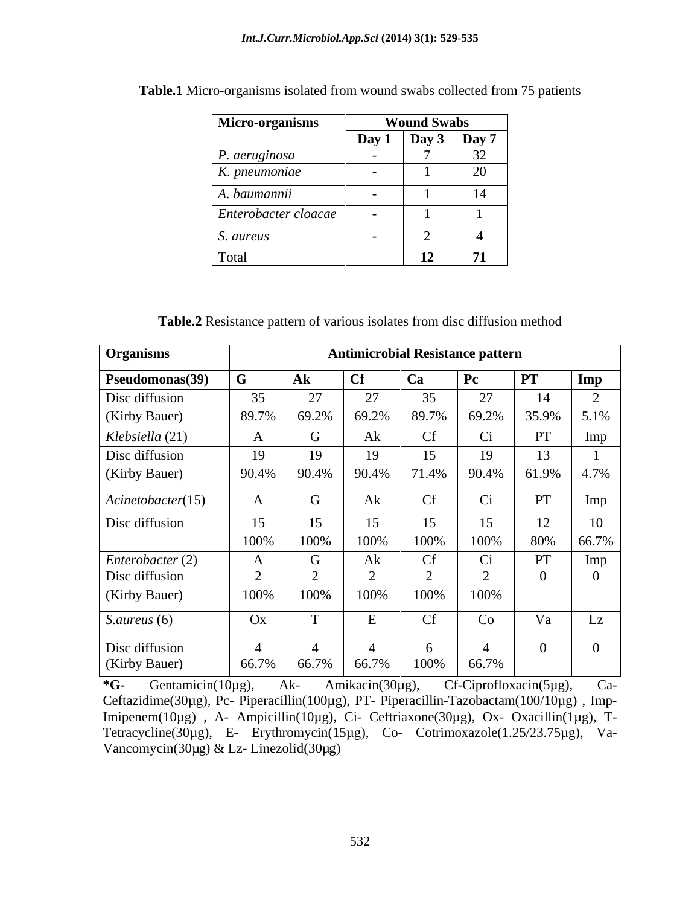| Micro-organisms              |                          | <b>Wound Swabs</b> |                 |
|------------------------------|--------------------------|--------------------|-----------------|
|                              | Day 1                    | $\vert$ Day 3      | Day 7           |
| P. aeruginosa                |                          |                    | $\Omega$<br>ے د |
| K. pneumoniae                | $\overline{\phantom{a}}$ |                    | 20              |
| A. baumannii                 | -                        |                    |                 |
| $ $ Enterobacter cloacae $ $ |                          |                    |                 |
| S. aureus                    |                          |                    |                 |
| Total                        |                          | 12                 | 71              |

|--|

**Table.2** Resistance pattern of various isolates from disc diffusion method

| <b>Organisms</b>               |    |               |              | <b>Antimicrobial Resistance pattern</b>                                       |              |               |     |
|--------------------------------|----|---------------|--------------|-------------------------------------------------------------------------------|--------------|---------------|-----|
| <b>Pseudomonas(39)</b>         |    | $A\mathbf{k}$ | $ $ Cf       | Ca                                                                            | $\mathbf{P}$ | PT            | Imp |
| Disc diffusion                 | 35 | 27            | 27           | 25                                                                            | $\Omega$     |               |     |
| (Kirby Bauer)                  |    |               |              | $\vert$ 89.7% $\vert$ 69.2% $\vert$ 69.2% $\vert$ 89.7% $\vert$ 69.2% $\vert$ |              | $35.9\%$ 5.1% |     |
| Klebsiella (21)                |    | G             |              |                                                                               |              |               | Imp |
| Disc diffusion                 | 19 | 19            | 19           | 15                                                                            | 19           | 13            |     |
| (Kirby Bauer)                  |    |               |              |                                                                               |              |               |     |
| $\overline{Acinetobacter}(15)$ |    | $\mathbf G$   | Ak           | Cf                                                                            | Ci           | PT            | Imp |
| Disc diffusion                 | 15 | 15            | 15           | 15                                                                            | 15           | 12            | 10  |
|                                |    | 100% 100%     | 100%         | 100%                                                                          | 100%         | 80% 66.7%     |     |
| Enterobacter (2)               |    | $\mathbf G$   | Ak           | <b>Cf</b>                                                                     | Ci           |               | Imp |
| Disc diffusion                 |    |               |              |                                                                               |              |               |     |
| (Kirby Bauer)                  |    | 100% 100%     | 100%         | 100% 100%                                                                     |              |               |     |
| S.aureus (6)                   | Ox | $\mathbf{T}$  | $\mathbf{E}$ | Cf                                                                            | Co           | Va            | Lz  |
| Disc diffusion                 |    |               |              |                                                                               |              |               |     |
| (Kirby Bauer)                  |    |               |              | $\vert$ 66.7% $\vert$ 66.7% $\vert$ 66.7% $\vert$ 100% $\vert$ 66.7%          |              |               |     |

**\*G-** Gentamicin(10µg), Ak- Amikacin(30µg), Cf-Ciprofloxacin(5µg), Ca- Ceftazidime(30µg), Pc- Piperacillin(100µg), PT- Piperacillin-Tazobactam(100/10µg), Imp-Imipenem(10µg) , A- Ampicillin(10µg), Ci- Ceftriaxone(30µg), Ox- Oxacillin(1µg), T- Tetracycline(30µg), E- Erythromycin(15µg), Co- Cotrimoxazole(1.25/23.75µg), Va- Vancomycin(30µg) & Lz- Linezolid(30µg)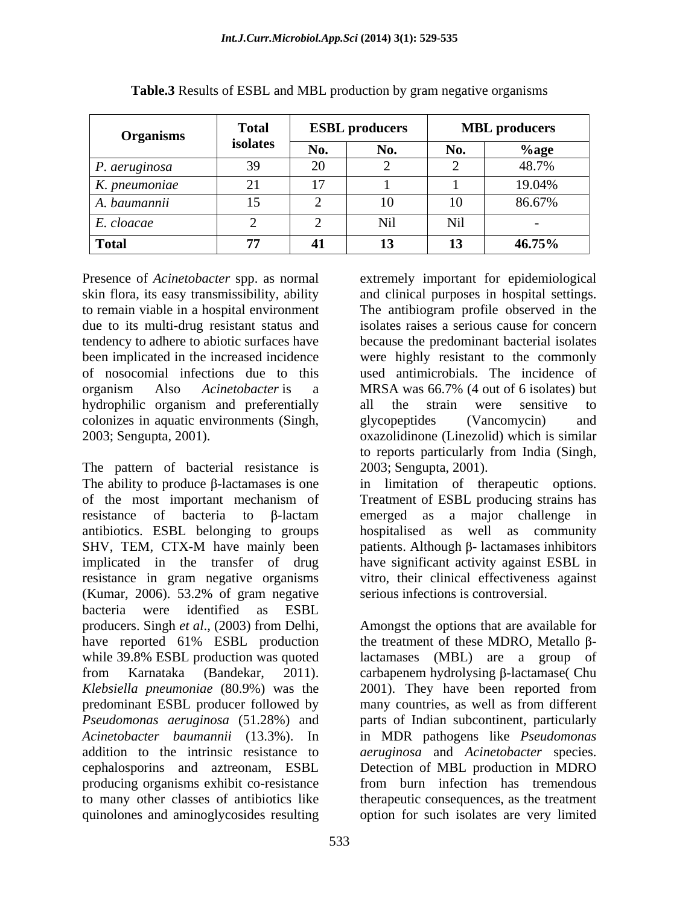| the contract of the contract of the<br><b>Organisms</b> | <b>Total</b> | <b>ESBL</b> | <b>L</b> producers |       | <b>MBL</b> producers |
|---------------------------------------------------------|--------------|-------------|--------------------|-------|----------------------|
|                                                         | isolates     |             |                    |       | .000                 |
| $P.$ aeruginos $\sim$                                   |              |             |                    |       |                      |
| K. pneumoniae                                           |              |             |                    |       | 19.04%               |
| A. baumannii                                            | 15           |             |                    |       | 86.67%               |
| E. cloacae                                              |              |             |                    | -NG 1 |                      |
| <b>Total</b>                                            | 77           |             |                    |       | 46.75%               |

**Table.3** Results of ESBL and MBL production by gram negative organisms

skin flora, its easy transmissibility, ability tendency to adhere to abiotic surfaces have hydrophilic organism and preferentially all the strain were sensitive to

The pattern of bacterial resistance is The ability to produce  $\beta$ -lactamases is one in limitation of therapeutic options. of the most important mechanism of Treatment of ESBL producing strains has resistance of bacteria to  $\beta$ -lactam emerged as a major challenge in antibiotics. ESBL belonging to groups SHV, TEM, CTX-M have mainly been patients. Although  $\beta$ - lactamases inhibitors implicated in the transfer of drug have significant activity against ESBL in resistance in gram negative organisms (Kumar, 2006). 53.2% of gram negative bacteria were identified as ESBL producers. Singh *et al.*, (2003) from Delhi, Amongst the options that are available for have reported 61% ESBL production while 39.8% ESBL production was quoted lactamases (MBL) are a group of from Karnataka (Bandekar, 2011). carbapenem hydrolysing  $\beta$ -lactamase( Chu *Klebsiella pneumoniae* (80.9%) was the 2001). They have been reported from predominant ESBL producer followed by many countries, as well as from different *Pseudomonas aeruginosa* (51.28%) and parts of Indian subcontinent, particularly *Acinetobacter baumannii* (13.3%). In in MDR pathogens like *Pseudomonas*  addition to the intrinsic resistance to *aeruginosa* and *Acinetobacter* species. cephalosporins and aztreonam, ESBL producing organisms exhibit co-resistance to many other classes of antibiotics like therapeutic consequences, as the treatment quinolones and aminoglycosides resulting option for such isolates are very limited

Presence of *Acinetobacter* spp. as normal extremely important for epidemiological to remain viable in a hospital environment The antibiogram profile observed in the due to its multi-drug resistant status and isolates raises a serious cause for concern been implicated in the increased incidence were highly resistant to the commonly of nosocomial infections due to this used antimicrobials. The incidence of organism Also *Acinetobacter* is a colonizes in aquatic environments (Singh, glycopeptides (Vancomycin) and 0xazolidinone (Linezolid) which is similar and clinical purposes in hospital settings. because the predominant bacterial isolates MRSA was 66.7% (4 out of 6 isolates) but all the strain were sensitive to glycopeptides (Vancomycin) and oxazolidinone (Linezolid) which is similar to reports particularly from India (Singh, 2003; Sengupta, 2001).

> hospitalised as well as community patients. Although  $\beta$ - lactamases inhibitors vitro, their clinical effectiveness against serious infections is controversial.

> the treatment of these MDRO, Metallo  $\beta$ lactamases (MBL) are a group of Detection of MBL production in MDRO from burn infection has tremendous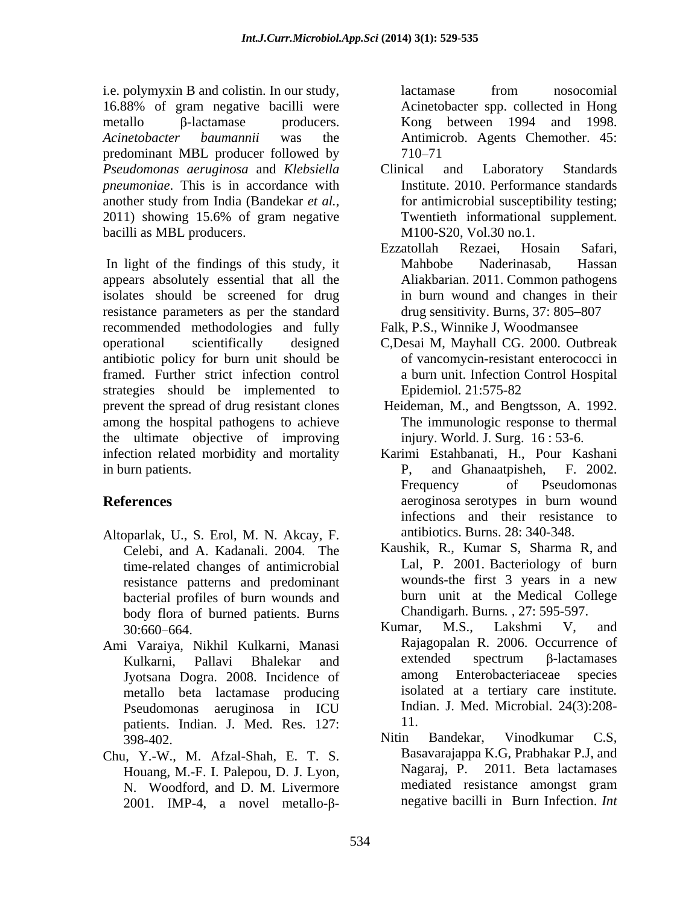i.e. polymyxin B and colistin. In our study, 16.88% of gram negative bacilli were  $metallo$   $\beta$ -lactamase producers. Kong between 1994 and 1998. *Acinetobacter baumannii* was the Antimicrob. Agents Chemother. 45: predominant MBL producer followed by *Pseudomonas aeruginosa* and *Klebsiella pneumoniae*. This is in accordance with another study from India (Bandekar *et al.*, <sup>1</sup> for antimicrobial susceptibility testing;<br>2011) showing 15.6% of gram negative Twentieth informational supplement. bacilli as MBL producers.

In light of the findings of this study, it Mahbobe Naderinasab, Hassan appears absolutely essential that all the isolates should be screened for drug resistance parameters as per the standard recommended methodologies and fully operational scientifically designed C,Desai M, Mayhall CG. 2000.Outbreak antibiotic policy for burn unit should be framed. Further strict infection control strategies should be implemented to Epidemiol. 21:575-82 prevent the spread of drug resistant clones among the hospital pathogens to achieve the ultimate objective of improving infection related morbidity and mortality Karimi Estahbanati, H., Pour Kashani

- Altoparlak, U., S. Erol, M. N. Akcay, F. Celebi, and A. Kadanali. 2004. The time-related changes of antimicrobial resistance patterns and predominant bacterial profiles of burn wounds and body flora of burned patients. Burns<br>
30:660–664<br>
Kumar, M.S., Lakshmi V, and
- Ami Varaiya, Nikhil Kulkarni, Manasi metallo beta lactamase producing patients. Indian. J. Med. Res. 127: 11.<br>398-402. Nitin Bandekar, Vinodkumar C.S.
- Chu, Y.-W., M. Afzal-Shah, E. T. S.<br>Houang M.-F. I Palenou D. I I yon Nagaraj, P. 2011. Beta lactamases N. Woodford, and D. M. Livermore  $2001$ . IMP-4, a novel metallo- $\beta$ -

lactamase from nosocomial Acinetobacter spp. collected in Hong 710 - 71

- Clinical and Laboratory Standards Institute. 2010. Performance standards for antimicrobial susceptibility testing; Twentieth informational supplement. M100-S20, Vol.30 no.1.
- Ezzatollah Rezaei, Hosain Safari, Mahbobe Naderinasab, Hassan Aliakbarian. 2011. Common pathogens in burn wound and changes in their drug sensitivity. Burns,  $37: 805 - 807$
- Falk, P.S., Winnike J, Woodmansee
- of vancomycin-resistant enterococci in a burn unit. Infection Control Hospital Epidemiol*.* 21:575-82
- Heideman, M., and Bengtsson, A. 1992. The immunologic response to thermal injury. World. J. Surg. 16 : 53-6.
- in burn patients. P, and Ghanaatpisheh, F. 2002. **References** aeroginosa serotypes in burn wound Frequency of Pseudomonas infections and their resistance to antibiotics. Burns. 28: 340-348.
	- Kaushik, R., Kumar S, Sharma R, and Lal, P. 2001. Bacteriology of burn wounds-the first 3 years in a new burn unit at the Medical College Chandigarh. Burns*. ,* 27: 595-597.
	- 30:660 664. Kulkarni, Pallavi Bhalekar and Jyotsana Dogra. 2008. Incidence of Pseudomonas aeruginosa in ICU Kumar, M.S., Lakshmi V, and Rajagopalan R. 2006. Occurrence of  $extended$  spectrum  $\beta$ -lactamases among Enterobacteriaceae species isolated at a tertiary care institute*.* Indian. J. Med. Microbial. 24(3):208- 11.
	- Houang, M.-F. I. Palepou, D. J. Lyon, Nagaraj, P. 2011. Beta lactamases<br>N. Woodford, and D. M. Livermore mediated resistance amongst gram Nitin Bandekar, Vinodkumar C.S, Basavarajappa K.G, Prabhakar P.J, and Nagaraj, P. 2011. Beta lactamases mediated resistance amongst gram negative bacilli in Burn Infection. *Int*